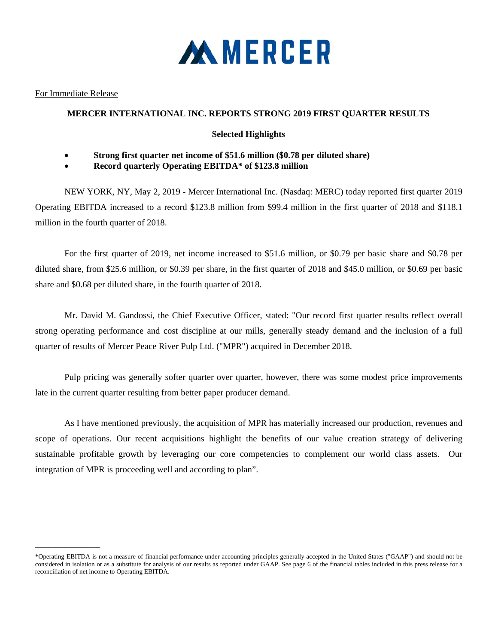

### For Immediate Release

 $\overline{\phantom{a}}$  ,  $\overline{\phantom{a}}$  ,  $\overline{\phantom{a}}$  ,  $\overline{\phantom{a}}$  ,  $\overline{\phantom{a}}$  ,  $\overline{\phantom{a}}$  ,  $\overline{\phantom{a}}$  ,  $\overline{\phantom{a}}$  ,  $\overline{\phantom{a}}$  ,  $\overline{\phantom{a}}$  ,  $\overline{\phantom{a}}$  ,  $\overline{\phantom{a}}$  ,  $\overline{\phantom{a}}$  ,  $\overline{\phantom{a}}$  ,  $\overline{\phantom{a}}$  ,  $\overline{\phantom{a}}$ 

## **MERCER INTERNATIONAL INC. REPORTS STRONG 2019 FIRST QUARTER RESULTS**

# **Selected Highlights**

- **Strong first quarter net income of \$51.6 million (\$0.78 per diluted share)**
- **Record quarterly Operating EBITDA\* of \$123.8 million**

NEW YORK, NY, May 2, 2019 - Mercer International Inc. (Nasdaq: MERC) today reported first quarter 2019 Operating EBITDA increased to a record \$123.8 million from \$99.4 million in the first quarter of 2018 and \$118.1 million in the fourth quarter of 2018.

For the first quarter of 2019, net income increased to \$51.6 million, or \$0.79 per basic share and \$0.78 per diluted share, from \$25.6 million, or \$0.39 per share, in the first quarter of 2018 and \$45.0 million, or \$0.69 per basic share and \$0.68 per diluted share, in the fourth quarter of 2018.

 Mr. David M. Gandossi, the Chief Executive Officer, stated: "Our record first quarter results reflect overall strong operating performance and cost discipline at our mills, generally steady demand and the inclusion of a full quarter of results of Mercer Peace River Pulp Ltd. ("MPR") acquired in December 2018.

Pulp pricing was generally softer quarter over quarter, however, there was some modest price improvements late in the current quarter resulting from better paper producer demand.

As I have mentioned previously, the acquisition of MPR has materially increased our production, revenues and scope of operations. Our recent acquisitions highlight the benefits of our value creation strategy of delivering sustainable profitable growth by leveraging our core competencies to complement our world class assets. Our integration of MPR is proceeding well and according to plan".

<sup>\*</sup>Operating EBITDA is not a measure of financial performance under accounting principles generally accepted in the United States ("GAAP") and should not be considered in isolation or as a substitute for analysis of our results as reported under GAAP. See page 6 of the financial tables included in this press release for a reconciliation of net income to Operating EBITDA.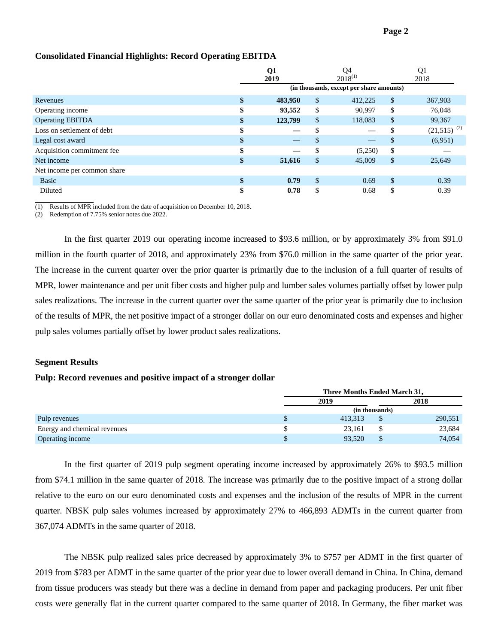|                             |    | Q1<br>2019 |     | Q4<br>$2018^{(1)}$                       |               | Q1<br>2018                |
|-----------------------------|----|------------|-----|------------------------------------------|---------------|---------------------------|
|                             |    |            |     | (in thousands, except per share amounts) |               |                           |
| Revenues                    | \$ | 483,950    | \$  | 412,225                                  | \$            | 367,903                   |
| Operating income            |    | 93,552     | S   | 90,997                                   | \$            | 76,048                    |
| <b>Operating EBITDA</b>     | \$ | 123,799    | \$  | 118,083                                  | \$            | 99,367                    |
| Loss on settlement of debt  | ъ  |            |     |                                          | \$            | $(21,515)$ <sup>(2)</sup> |
| Legal cost award            | Ф  |            | \$. |                                          | $\mathbb{S}$  | (6,951)                   |
| Acquisition commitment fee  | Ⴛ  |            | \$  | (5,250)                                  | \$            |                           |
| Net income                  | \$ | 51,616     | \$  | 45,009                                   | \$            | 25,649                    |
| Net income per common share |    |            |     |                                          |               |                           |
| Basic                       | Ф  | 0.79       | \$  | 0.69                                     | $\mathcal{S}$ | 0.39                      |
| Diluted                     |    | 0.78       | \$  | 0.68                                     | \$            | 0.39                      |

### **Consolidated Financial Highlights: Record Operating EBITDA**

(1) Results of MPR included from the date of acquisition on December 10, 2018.

(2) Redemption of 7.75% senior notes due 2022.

In the first quarter 2019 our operating income increased to \$93.6 million, or by approximately 3% from \$91.0 million in the fourth quarter of 2018, and approximately 23% from \$76.0 million in the same quarter of the prior year. The increase in the current quarter over the prior quarter is primarily due to the inclusion of a full quarter of results of MPR, lower maintenance and per unit fiber costs and higher pulp and lumber sales volumes partially offset by lower pulp sales realizations. The increase in the current quarter over the same quarter of the prior year is primarily due to inclusion of the results of MPR, the net positive impact of a stronger dollar on our euro denominated costs and expenses and higher pulp sales volumes partially offset by lower product sales realizations.

#### **Segment Results**

 $\overline{a}$ 

#### **Pulp: Record revenues and positive impact of a stronger dollar**

|                              | Three Months Ended March 31, |                |         |  |  |  |
|------------------------------|------------------------------|----------------|---------|--|--|--|
|                              | 2019                         | 2018           |         |  |  |  |
|                              |                              | (in thousands) |         |  |  |  |
| Pulp revenues                | 413.313                      |                | 290,551 |  |  |  |
| Energy and chemical revenues | 23.161                       |                | 23,684  |  |  |  |
| Operating income             | 93.520                       |                | 74.054  |  |  |  |

In the first quarter of 2019 pulp segment operating income increased by approximately 26% to \$93.5 million from \$74.1 million in the same quarter of 2018. The increase was primarily due to the positive impact of a strong dollar relative to the euro on our euro denominated costs and expenses and the inclusion of the results of MPR in the current quarter. NBSK pulp sales volumes increased by approximately 27% to 466,893 ADMTs in the current quarter from 367,074 ADMTs in the same quarter of 2018.

The NBSK pulp realized sales price decreased by approximately 3% to \$757 per ADMT in the first quarter of 2019 from \$783 per ADMT in the same quarter of the prior year due to lower overall demand in China. In China, demand from tissue producers was steady but there was a decline in demand from paper and packaging producers. Per unit fiber costs were generally flat in the current quarter compared to the same quarter of 2018. In Germany, the fiber market was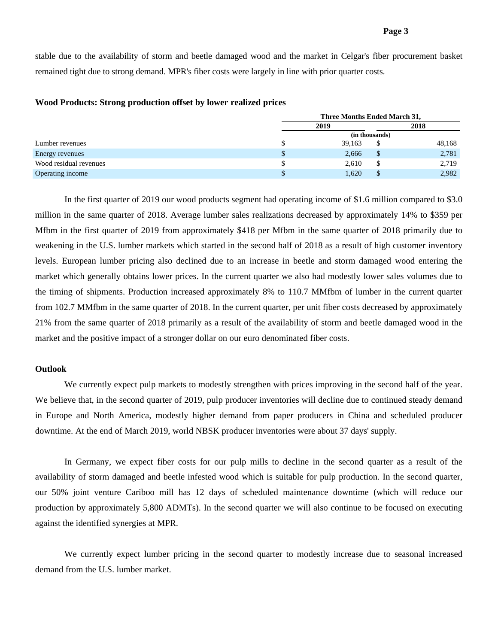stable due to the availability of storm and beetle damaged wood and the market in Celgar's fiber procurement basket remained tight due to strong demand. MPR's fiber costs were largely in line with prior quarter costs.

|                        | Three Months Ended March 31, |                |        |
|------------------------|------------------------------|----------------|--------|
|                        | 2019                         |                | 2018   |
|                        |                              | (in thousands) |        |
| Lumber revenues        | 39,163                       |                | 48,168 |
| Energy revenues        | 2,666                        | <sup>\$</sup>  | 2,781  |
| Wood residual revenues | 2,610                        | S              | 2,719  |
| Operating income       | 1,620                        |                | 2,982  |

### **Wood Products: Strong production offset by lower realized prices**

In the first quarter of 2019 our wood products segment had operating income of \$1.6 million compared to \$3.0 million in the same quarter of 2018. Average lumber sales realizations decreased by approximately 14% to \$359 per Mfbm in the first quarter of 2019 from approximately \$418 per Mfbm in the same quarter of 2018 primarily due to weakening in the U.S. lumber markets which started in the second half of 2018 as a result of high customer inventory levels. European lumber pricing also declined due to an increase in beetle and storm damaged wood entering the market which generally obtains lower prices. In the current quarter we also had modestly lower sales volumes due to the timing of shipments. Production increased approximately 8% to 110.7 MMfbm of lumber in the current quarter from 102.7 MMfbm in the same quarter of 2018. In the current quarter, per unit fiber costs decreased by approximately 21% from the same quarter of 2018 primarily as a result of the availability of storm and beetle damaged wood in the market and the positive impact of a stronger dollar on our euro denominated fiber costs.

### **Outlook**

We currently expect pulp markets to modestly strengthen with prices improving in the second half of the year. We believe that, in the second quarter of 2019, pulp producer inventories will decline due to continued steady demand in Europe and North America, modestly higher demand from paper producers in China and scheduled producer downtime. At the end of March 2019, world NBSK producer inventories were about 37 days' supply.

In Germany, we expect fiber costs for our pulp mills to decline in the second quarter as a result of the availability of storm damaged and beetle infested wood which is suitable for pulp production. In the second quarter, our 50% joint venture Cariboo mill has 12 days of scheduled maintenance downtime (which will reduce our production by approximately 5,800 ADMTs). In the second quarter we will also continue to be focused on executing against the identified synergies at MPR.

We currently expect lumber pricing in the second quarter to modestly increase due to seasonal increased demand from the U.S. lumber market.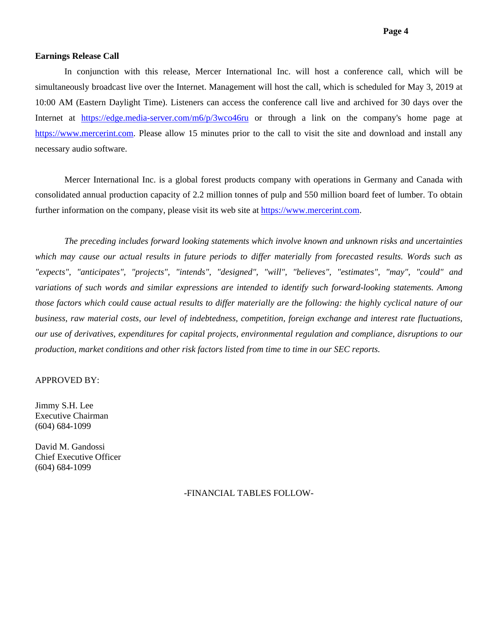### **Earnings Release Call**

 In conjunction with this release, Mercer International Inc. will host a conference call, which will be simultaneously broadcast live over the Internet. Management will host the call, which is scheduled for May 3, 2019 at 10:00 AM (Eastern Daylight Time). Listeners can access the conference call live and archived for 30 days over the Internet at https://edge.media-server.com/m6/p/3wco46ru or through a link on the company's home page at https://www.mercerint.com. Please allow 15 minutes prior to the call to visit the site and download and install any necessary audio software.

Mercer International Inc. is a global forest products company with operations in Germany and Canada with consolidated annual production capacity of 2.2 million tonnes of pulp and 550 million board feet of lumber. To obtain further information on the company, please visit its web site at https://www.mercerint.com.

*The preceding includes forward looking statements which involve known and unknown risks and uncertainties which may cause our actual results in future periods to differ materially from forecasted results. Words such as "expects", "anticipates", "projects", "intends", "designed", "will", "believes", "estimates", "may", "could" and variations of such words and similar expressions are intended to identify such forward-looking statements. Among those factors which could cause actual results to differ materially are the following: the highly cyclical nature of our business, raw material costs, our level of indebtedness, competition, foreign exchange and interest rate fluctuations, our use of derivatives, expenditures for capital projects, environmental regulation and compliance, disruptions to our production, market conditions and other risk factors listed from time to time in our SEC reports.* 

### APPROVED BY:

Jimmy S.H. Lee Executive Chairman (604) 684-1099

David M. Gandossi Chief Executive Officer (604) 684-1099

-FINANCIAL TABLES FOLLOW-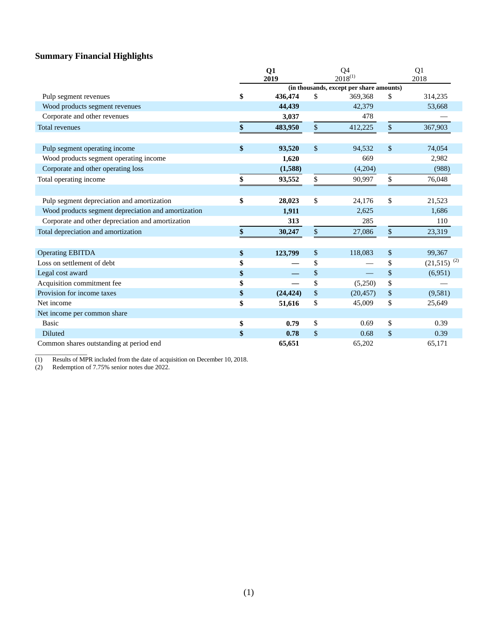# **Summary Financial Highlights**

|                                                     | Q <sub>1</sub><br>Q4<br>$2018^{(1)}$<br>2019 |                                          |           |    | Q <sub>1</sub><br>2018    |  |  |
|-----------------------------------------------------|----------------------------------------------|------------------------------------------|-----------|----|---------------------------|--|--|
|                                                     |                                              | (in thousands, except per share amounts) |           |    |                           |  |  |
| Pulp segment revenues                               | \$<br>436,474                                | \$                                       | 369,368   | \$ | 314,235                   |  |  |
| Wood products segment revenues                      | 44,439                                       |                                          | 42,379    |    | 53,668                    |  |  |
| Corporate and other revenues                        | 3,037                                        |                                          | 478       |    |                           |  |  |
| <b>Total revenues</b>                               | \$<br>483,950                                | \$                                       | 412,225   | \$ | 367,903                   |  |  |
|                                                     |                                              |                                          |           |    |                           |  |  |
| Pulp segment operating income                       | \$<br>93,520                                 | \$                                       | 94,532    | \$ | 74,054                    |  |  |
| Wood products segment operating income              | 1,620                                        |                                          | 669       |    | 2,982                     |  |  |
| Corporate and other operating loss                  | (1,588)                                      |                                          | (4,204)   |    | (988)                     |  |  |
| Total operating income                              | \$<br>93,552                                 | \$                                       | 90,997    | \$ | 76,048                    |  |  |
|                                                     |                                              |                                          |           |    |                           |  |  |
| Pulp segment depreciation and amortization          | \$<br>28,023                                 | \$                                       | 24,176    | \$ | 21,523                    |  |  |
| Wood products segment depreciation and amortization | 1,911                                        |                                          | 2,625     |    | 1,686                     |  |  |
| Corporate and other depreciation and amortization   | 313                                          |                                          | 285       |    | 110                       |  |  |
| Total depreciation and amortization                 | \$<br>30,247                                 | $\mathsf{\$}$                            | 27,086    | \$ | 23,319                    |  |  |
|                                                     |                                              |                                          |           |    |                           |  |  |
| <b>Operating EBITDA</b>                             | \$<br>123,799                                | \$                                       | 118,083   | \$ | 99,367                    |  |  |
| Loss on settlement of debt                          | \$                                           | \$                                       |           | \$ | $(21,515)$ <sup>(2)</sup> |  |  |
| Legal cost award                                    | \$                                           | \$                                       |           | \$ | (6,951)                   |  |  |
| Acquisition commitment fee                          | \$                                           | \$                                       | (5,250)   | \$ |                           |  |  |
| Provision for income taxes                          | \$<br>(24, 424)                              | \$                                       | (20, 457) | \$ | (9,581)                   |  |  |
| Net income                                          | \$<br>51,616                                 | \$                                       | 45,009    | \$ | 25,649                    |  |  |
| Net income per common share                         |                                              |                                          |           |    |                           |  |  |
| <b>Basic</b>                                        | \$<br>0.79                                   | \$                                       | 0.69      | \$ | 0.39                      |  |  |
| Diluted                                             | \$<br>0.78                                   | \$                                       | 0.68      | \$ | 0.39                      |  |  |
| Common shares outstanding at period end             | 65,651                                       |                                          | 65,202    |    | 65,171                    |  |  |

(1) Results of MPR included from the date of acquisition on December 10, 2018.

(2) Redemption of 7.75% senior notes due 2022.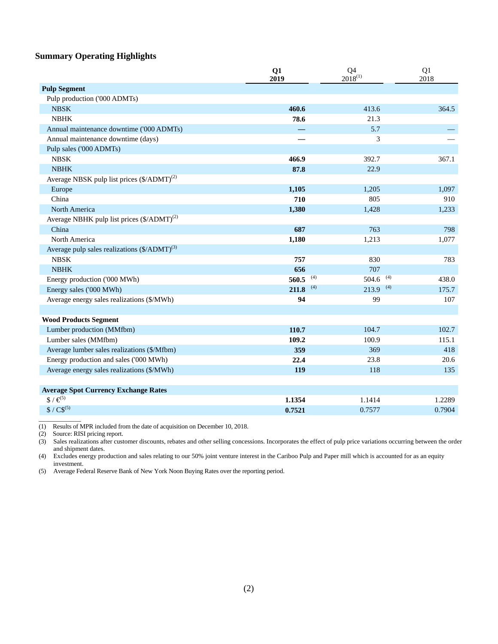## **Summary Operating Highlights**

|                                                          | Q1<br>2019   | Q <sub>4</sub><br>$2018^{(1)}$ | Q1<br>2018 |  |
|----------------------------------------------------------|--------------|--------------------------------|------------|--|
| <b>Pulp Segment</b>                                      |              |                                |            |  |
| Pulp production ('000 ADMTs)                             |              |                                |            |  |
| <b>NBSK</b>                                              | 460.6        | 413.6                          | 364.5      |  |
| <b>NBHK</b>                                              | 78.6         | 21.3                           |            |  |
| Annual maintenance downtime ('000 ADMTs)                 |              | 5.7                            |            |  |
| Annual maintenance downtime (days)                       |              | 3                              |            |  |
| Pulp sales ('000 ADMTs)                                  |              |                                |            |  |
| <b>NBSK</b>                                              | 466.9        | 392.7                          | 367.1      |  |
| <b>NBHK</b>                                              | 87.8         | 22.9                           |            |  |
| Average NBSK pulp list prices $(\frac{5}{ADMT})^{(2)}$   |              |                                |            |  |
| Europe                                                   | 1,105        | 1,205                          | 1,097      |  |
| China                                                    | 710          | 805                            | 910        |  |
| North America                                            | 1,380        | 1,428                          | 1,233      |  |
| Average NBHK pulp list prices (\$/ADMT) <sup>(2)</sup>   |              |                                |            |  |
| China                                                    | 687          | 763                            | 798        |  |
| North America                                            | 1,180        | 1,213                          | 1,077      |  |
| Average pulp sales realizations (\$/ADMT) <sup>(3)</sup> |              |                                |            |  |
| <b>NBSK</b>                                              | 757          | 830                            | 783        |  |
| <b>NBHK</b>                                              | 656          | 707                            |            |  |
| Energy production ('000 MWh)                             | (4)<br>560.5 | (4)<br>504.6                   | 438.0      |  |
| Energy sales ('000 MWh)                                  | (4)<br>211.8 | $213.9$ (4)                    | 175.7      |  |
| Average energy sales realizations (\$/MWh)               | 94           | 99                             | 107        |  |
|                                                          |              |                                |            |  |
| <b>Wood Products Segment</b>                             |              |                                |            |  |
| Lumber production (MMfbm)                                | 110.7        | 104.7                          | 102.7      |  |
| Lumber sales (MMfbm)                                     | 109.2        | 100.9                          | 115.1      |  |
| Average lumber sales realizations (\$/Mfbm)              | 359          | 369                            | 418        |  |
| Energy production and sales ('000 MWh)                   | 22.4         | 23.8                           | 20.6       |  |
| Average energy sales realizations (\$/MWh)               | 119          | 118                            | 135        |  |
| <b>Average Spot Currency Exchange Rates</b>              |              |                                |            |  |
| $\sqrt[3]{\epsilon^{5}}$                                 | 1.1354       | 1.1414                         | 1.2289     |  |
| $$ / CS^{(5)}$                                           | 0.7521       | 0.7577                         | 0.7904     |  |
|                                                          |              |                                |            |  |

(1) Results of MPR included from the date of acquisition on December 10, 2018.

(2) Source: RISI pricing report.

(3) Sales realizations after customer discounts, rebates and other selling concessions. Incorporates the effect of pulp price variations occurring between the order and shipment dates.

(4) Excludes energy production and sales relating to our 50% joint venture interest in the Cariboo Pulp and Paper mill which is accounted for as an equity investment.

(5) Average Federal Reserve Bank of New York Noon Buying Rates over the reporting period.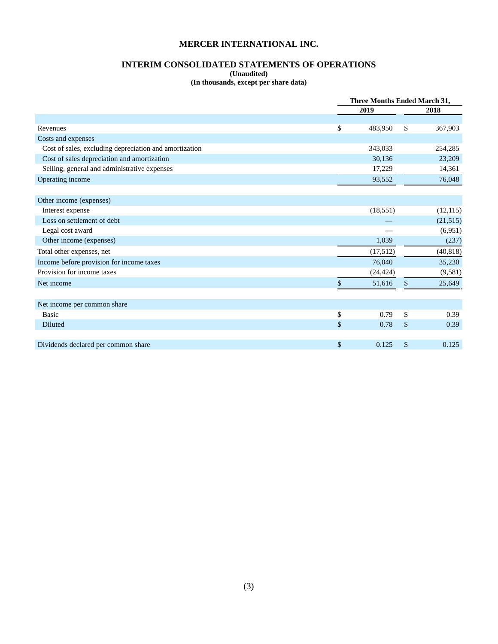# **INTERIM CONSOLIDATED STATEMENTS OF OPERATIONS**

**(Unaudited)** 

**(In thousands, except per share data)** 

|                                                        | <b>Three Months Ended March 31,</b> |           |  |  |
|--------------------------------------------------------|-------------------------------------|-----------|--|--|
|                                                        | 2019                                | 2018      |  |  |
|                                                        |                                     |           |  |  |
| Revenues                                               | \$<br>483,950<br>\$                 | 367,903   |  |  |
| Costs and expenses                                     |                                     |           |  |  |
| Cost of sales, excluding depreciation and amortization | 343,033                             | 254,285   |  |  |
| Cost of sales depreciation and amortization            | 30,136                              | 23,209    |  |  |
| Selling, general and administrative expenses           | 17,229                              | 14,361    |  |  |
| Operating income                                       | 93,552                              | 76,048    |  |  |
| Other income (expenses)                                |                                     |           |  |  |
| Interest expense                                       | (18, 551)                           | (12, 115) |  |  |
| Loss on settlement of debt                             |                                     | (21, 515) |  |  |
| Legal cost award                                       |                                     | (6,951)   |  |  |
| Other income (expenses)                                | 1,039                               | (237)     |  |  |
| Total other expenses, net                              | (17,512)                            | (40, 818) |  |  |
| Income before provision for income taxes               | 76,040                              | 35,230    |  |  |
| Provision for income taxes                             | (24, 424)                           | (9, 581)  |  |  |
| Net income                                             | \$<br>\$<br>51,616                  | 25,649    |  |  |
| Net income per common share                            |                                     |           |  |  |
| <b>Basic</b>                                           | \$<br>\$<br>0.79                    | 0.39      |  |  |
| <b>Diluted</b>                                         | \$<br>0.78<br>\$                    | 0.39      |  |  |
|                                                        |                                     |           |  |  |
| Dividends declared per common share                    | \$<br>0.125<br>\$                   | 0.125     |  |  |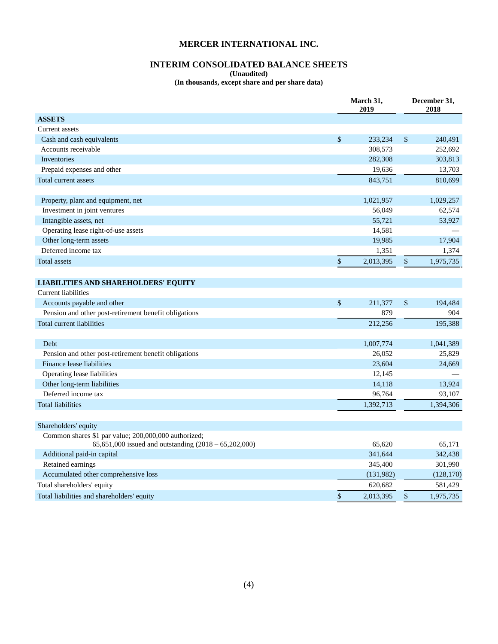# **INTERIM CONSOLIDATED BALANCE SHEETS**

**(Unaudited)** 

**(In thousands, except share and per share data)** 

|                                                         | March 31,<br>2019 |              | December 31,<br>2018 |  |
|---------------------------------------------------------|-------------------|--------------|----------------------|--|
| <b>ASSETS</b>                                           |                   |              |                      |  |
| Current assets                                          |                   |              |                      |  |
| Cash and cash equivalents                               | \$<br>233,234     | \$           | 240,491              |  |
| Accounts receivable                                     | 308,573           |              | 252,692              |  |
| Inventories                                             | 282,308           |              | 303,813              |  |
| Prepaid expenses and other                              | 19,636            |              | 13,703               |  |
| Total current assets                                    | 843,751           |              | 810,699              |  |
| Property, plant and equipment, net                      | 1,021,957         |              | 1,029,257            |  |
| Investment in joint ventures                            | 56,049            |              | 62,574               |  |
| Intangible assets, net                                  | 55,721            |              | 53,927               |  |
| Operating lease right-of-use assets                     | 14,581            |              |                      |  |
| Other long-term assets                                  | 19,985            |              | 17,904               |  |
| Deferred income tax                                     | 1,351             |              | 1,374                |  |
| <b>Total assets</b>                                     | \$<br>2,013,395   | $\mathbb{S}$ | 1,975,735            |  |
|                                                         |                   |              |                      |  |
| <b>LIABILITIES AND SHAREHOLDERS' EQUITY</b>             |                   |              |                      |  |
| <b>Current liabilities</b>                              |                   |              |                      |  |
| Accounts payable and other                              | \$<br>211,377     | \$           | 194,484              |  |
| Pension and other post-retirement benefit obligations   | 879               |              | 904                  |  |
| Total current liabilities                               | 212,256           |              | 195,388              |  |
|                                                         |                   |              |                      |  |
| Debt                                                    | 1,007,774         |              | 1,041,389            |  |
| Pension and other post-retirement benefit obligations   | 26,052            |              | 25,829               |  |
| Finance lease liabilities                               | 23,604            |              | 24,669               |  |
| Operating lease liabilities                             | 12,145            |              |                      |  |
| Other long-term liabilities                             | 14,118            |              | 13,924               |  |
| Deferred income tax                                     | 96,764            |              | 93,107               |  |
| <b>Total liabilities</b>                                | 1,392,713         |              | 1,394,306            |  |
|                                                         |                   |              |                      |  |
| Shareholders' equity                                    |                   |              |                      |  |
| Common shares \$1 par value; 200,000,000 authorized;    |                   |              |                      |  |
| 65,651,000 issued and outstanding $(2018 - 65,202,000)$ | 65,620            |              | 65,171               |  |
| Additional paid-in capital                              | 341,644           |              | 342,438              |  |
| Retained earnings                                       | 345,400           |              | 301,990              |  |
| Accumulated other comprehensive loss                    | (131,982)         |              | (128, 170)           |  |
| Total shareholders' equity                              | 620,682           |              | 581,429              |  |
| Total liabilities and shareholders' equity              | \$<br>2,013,395   | \$           | 1,975,735            |  |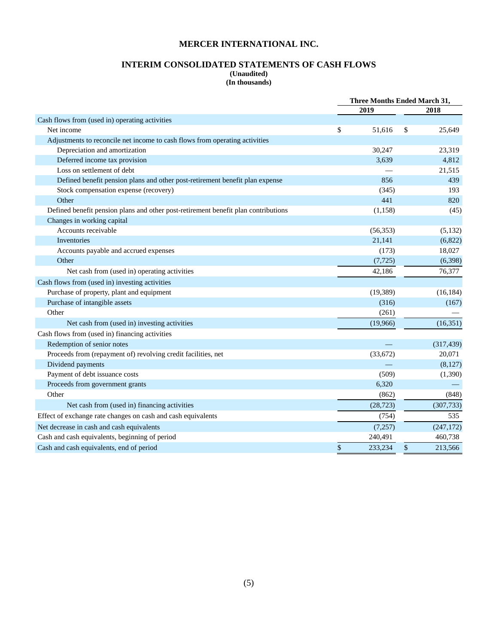## **INTERIM CONSOLIDATED STATEMENTS OF CASH FLOWS (Unaudited)**

**(In thousands)** 

|                                                                                    | Three Months Ended March 31, |           |    |            |
|------------------------------------------------------------------------------------|------------------------------|-----------|----|------------|
|                                                                                    |                              | 2019      |    | 2018       |
| Cash flows from (used in) operating activities                                     |                              |           |    |            |
| Net income                                                                         | \$                           | 51,616    | S  | 25,649     |
| Adjustments to reconcile net income to cash flows from operating activities        |                              |           |    |            |
| Depreciation and amortization                                                      |                              | 30,247    |    | 23,319     |
| Deferred income tax provision                                                      |                              | 3.639     |    | 4,812      |
| Loss on settlement of debt                                                         |                              |           |    | 21,515     |
| Defined benefit pension plans and other post-retirement benefit plan expense       |                              | 856       |    | 439        |
| Stock compensation expense (recovery)                                              |                              | (345)     |    | 193        |
| Other                                                                              |                              | 441       |    | 820        |
| Defined benefit pension plans and other post-retirement benefit plan contributions |                              | (1, 158)  |    | (45)       |
| Changes in working capital                                                         |                              |           |    |            |
| Accounts receivable                                                                |                              | (56, 353) |    | (5,132)    |
| Inventories                                                                        |                              | 21,141    |    | (6,822)    |
| Accounts payable and accrued expenses                                              |                              | (173)     |    | 18,027     |
| Other                                                                              |                              | (7, 725)  |    | (6,398)    |
| Net cash from (used in) operating activities                                       |                              | 42,186    |    | 76,377     |
| Cash flows from (used in) investing activities                                     |                              |           |    |            |
| Purchase of property, plant and equipment                                          |                              | (19, 389) |    | (16, 184)  |
| Purchase of intangible assets                                                      |                              | (316)     |    | (167)      |
| Other                                                                              |                              | (261)     |    |            |
| Net cash from (used in) investing activities                                       |                              | (19,966)  |    | (16,351)   |
| Cash flows from (used in) financing activities                                     |                              |           |    |            |
| Redemption of senior notes                                                         |                              |           |    | (317, 439) |
| Proceeds from (repayment of) revolving credit facilities, net                      |                              | (33,672)  |    | 20,071     |
| Dividend payments                                                                  |                              |           |    | (8,127)    |
| Payment of debt issuance costs                                                     |                              | (509)     |    | (1,390)    |
| Proceeds from government grants                                                    |                              | 6,320     |    |            |
| Other                                                                              |                              | (862)     |    | (848)      |
| Net cash from (used in) financing activities                                       |                              | (28, 723) |    | (307, 733) |
| Effect of exchange rate changes on cash and cash equivalents                       |                              | (754)     |    | 535        |
| Net decrease in cash and cash equivalents                                          |                              | (7,257)   |    | (247, 172) |
| Cash and cash equivalents, beginning of period                                     |                              | 240,491   |    | 460,738    |
| Cash and cash equivalents, end of period                                           | \$                           | 233,234   | \$ | 213,566    |